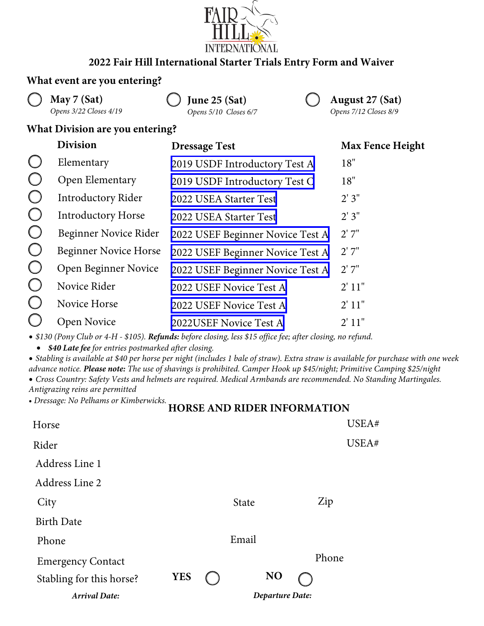

# **2022 Fair Hill International Starter Trials Entry Form and Waiver**

### **What event are you entering?**

**May 7 (Sat)** *Opens 3/22 Closes 4/19*

**June 25 (Sat)** *Opens 5/10 Closes 6/7* **August 27 (Sat)** *Opens 7/12 Closes 8/9*

## **What Division are you entering?**

| <b>Division</b>              | <b>Dressage Test</b>             | <b>Max Fence Height</b> |  |  |
|------------------------------|----------------------------------|-------------------------|--|--|
| Elementary                   | 2019 USDF Introductory Test A    | 18"                     |  |  |
| Open Elementary              | 2019 USDF Introductory Test C    | 18"                     |  |  |
| <b>Introductory Rider</b>    | 2022 USEA Starter Test           | 2'3''                   |  |  |
| <b>Introductory Horse</b>    | 2022 USEA Starter Test           | 2'3''                   |  |  |
| Beginner Novice Rider        | 2022 USEF Beginner Novice Test A | 2'7''                   |  |  |
| <b>Beginner Novice Horse</b> | 2022 USEF Beginner Novice Test A | 2'7''                   |  |  |
| Open Beginner Novice         | 2022 USEF Beginner Novice Test A | 2'7''                   |  |  |
| Novice Rider                 | 2022 USEF Novice Test A          | 2' 11"                  |  |  |
| Novice Horse                 | 2022 USEF Novice Test A          | 2' 11"                  |  |  |
| Open Novice                  | 2022USEF Novice Test A           | 2' 11"                  |  |  |

• *\$130 (Pony Club or 4-H - \$105). Refunds: before closing, less \$15 office fee; after closing, no refund.*

• *\$40 Late fee for entries postmarked after closing.*

• *Stabling is available at \$40 per horse per night (includes 1 bale of straw). Extra straw is available for purchase with one week advance notice. Please note: The use of shavings is prohibited. Camper Hook up \$45/night; Primitive Camping \$25/night* • *Cross Country: Safety Vests and helmets are required. Medical Armbands are recommended. No Standing Martingales.*

*Antigrazing reins are permitted*

*• Dressage: No Pelhams or Kimberwicks.*

# **HORSE AND RIDER INFORMATION**

| Horse                    |                        |  |              |    | USEA# |
|--------------------------|------------------------|--|--------------|----|-------|
| Rider                    |                        |  |              |    | USEA# |
| Address Line 1           |                        |  |              |    |       |
| Address Line 2           |                        |  |              |    |       |
| City                     |                        |  | <b>State</b> |    | Zip   |
| <b>Birth Date</b>        |                        |  |              |    |       |
| Phone                    |                        |  | Email        |    |       |
| <b>Emergency Contact</b> |                        |  |              |    | Phone |
| Stabling for this horse? | <b>YES</b>             |  |              | NO |       |
| <b>Arrival Date:</b>     | <b>Departure Date:</b> |  |              |    |       |